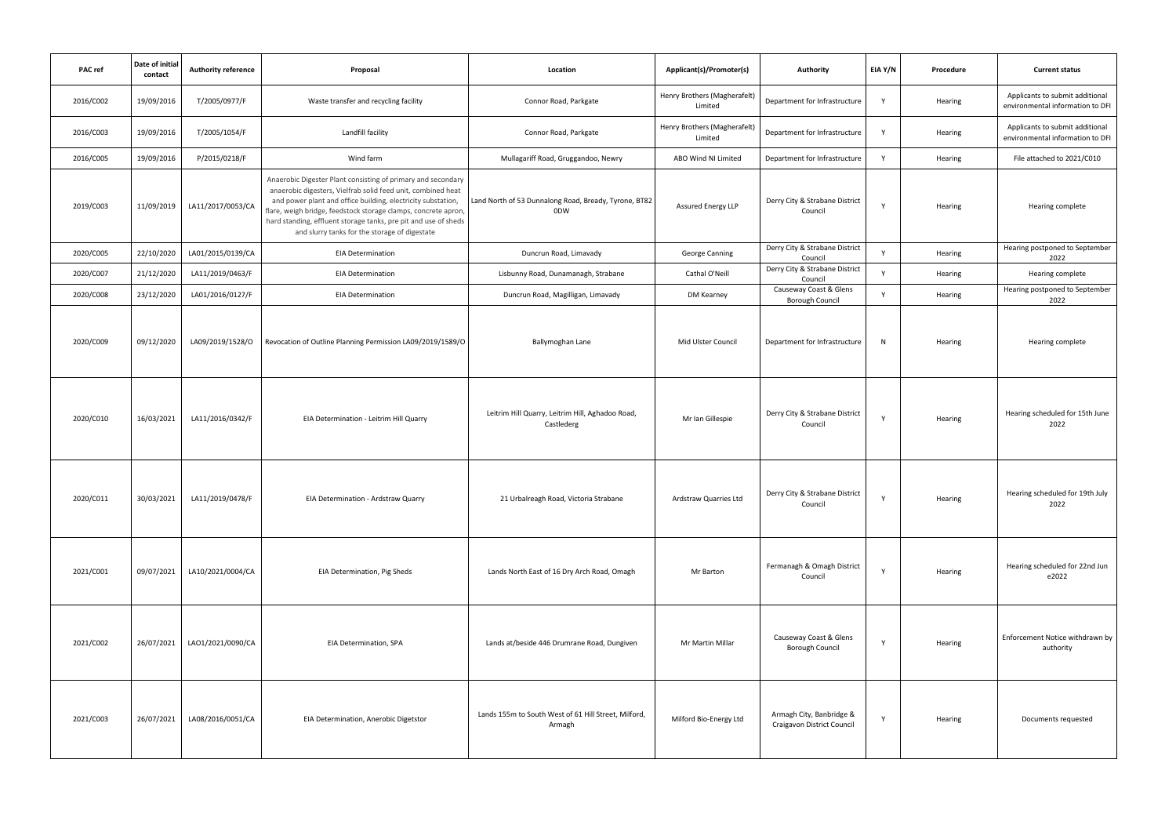| PAC ref   | Date of initial<br>contact | <b>Authority reference</b> | Proposal                                                                                                                                                                                                                                                                                                                                                                           | Location                                                       | Applicant(s)/Promoter(s)                | Authority                                              | EIA Y/N      | Procedure | <b>Current status</b>                                               |
|-----------|----------------------------|----------------------------|------------------------------------------------------------------------------------------------------------------------------------------------------------------------------------------------------------------------------------------------------------------------------------------------------------------------------------------------------------------------------------|----------------------------------------------------------------|-----------------------------------------|--------------------------------------------------------|--------------|-----------|---------------------------------------------------------------------|
| 2016/C002 | 19/09/2016                 | T/2005/0977/F              | Waste transfer and recycling facility                                                                                                                                                                                                                                                                                                                                              | Connor Road, Parkgate                                          | Henry Brothers (Magherafelt)<br>Limited | Department for Infrastructure                          | Y            | Hearing   | Applicants to submit additional<br>environmental information to DFI |
| 2016/C003 | 19/09/2016                 | T/2005/1054/F              | Landfill facility                                                                                                                                                                                                                                                                                                                                                                  | Connor Road, Parkgate                                          | Henry Brothers (Magherafelt)<br>Limited | Department for Infrastructure                          | $\mathsf{v}$ | Hearing   | Applicants to submit additional<br>environmental information to DFI |
| 2016/C005 | 19/09/2016                 | P/2015/0218/F              | Wind farm                                                                                                                                                                                                                                                                                                                                                                          | Mullagariff Road, Gruggandoo, Newry                            | ABO Wind NI Limited                     | Department for Infrastructure                          | $\mathsf{v}$ | Hearing   | File attached to 2021/C010                                          |
| 2019/C003 | 11/09/2019                 | LA11/2017/0053/CA          | Anaerobic Digester Plant consisting of primary and secondary<br>anaerobic digesters, Vielfrab solid feed unit, combined heat<br>and power plant and office building, electricity substation,<br>flare, weigh bridge, feedstock storage clamps, concrete apron,<br>hard standing, effluent storage tanks, pre pit and use of sheds<br>and slurry tanks for the storage of digestate | Land North of 53 Dunnalong Road, Bready, Tyrone, BT82<br>0DW   | <b>Assured Energy LLP</b>               | Derry City & Strabane District<br>Council              | Y            | Hearing   | Hearing complete                                                    |
| 2020/C005 | 22/10/2020                 | LA01/2015/0139/CA          | <b>EIA Determination</b>                                                                                                                                                                                                                                                                                                                                                           | Duncrun Road, Limavady                                         | <b>George Canning</b>                   | Derry City & Strabane District<br>Council              | $\mathsf{v}$ | Hearing   | Hearing postponed to September<br>2022                              |
| 2020/C007 | 21/12/2020                 | LA11/2019/0463/F           | <b>EIA Determination</b>                                                                                                                                                                                                                                                                                                                                                           | Lisbunny Road, Dunamanagh, Strabane                            | Cathal O'Neill                          | Derry City & Strabane District<br>Council              | <b>Y</b>     | Hearing   | Hearing complete                                                    |
| 2020/C008 | 23/12/2020                 | LA01/2016/0127/F           | <b>EIA Determination</b>                                                                                                                                                                                                                                                                                                                                                           | Duncrun Road, Magilligan, Limavady                             | DM Kearney                              | Causeway Coast & Glens<br><b>Borough Council</b>       | Y            | Hearing   | Hearing postponed to September<br>2022                              |
| 2020/C009 | 09/12/2020                 | LA09/2019/1528/O           | Revocation of Outline Planning Permission LA09/2019/1589/O                                                                                                                                                                                                                                                                                                                         | Ballymoghan Lane                                               | Mid Ulster Council                      | Department for Infrastructure                          | N            | Hearing   | Hearing complete                                                    |
| 2020/C010 | 16/03/2021                 | LA11/2016/0342/F           | EIA Determination - Leitrim Hill Quarry                                                                                                                                                                                                                                                                                                                                            | Leitrim Hill Quarry, Leitrim Hill, Aghadoo Road,<br>Castlederg | Mr Ian Gillespie                        | Derry City & Strabane District<br>Council              | Y            | Hearing   | Hearing scheduled for 15th June<br>2022                             |
| 2020/C011 | 30/03/2021                 | LA11/2019/0478/F           | EIA Determination - Ardstraw Quarry                                                                                                                                                                                                                                                                                                                                                | 21 Urbalreagh Road, Victoria Strabane                          | Ardstraw Quarries Ltd                   | Derry City & Strabane District<br>Council              | Y            | Hearing   | Hearing scheduled for 19th July<br>2022                             |
| 2021/C001 | 09/07/2021                 | LA10/2021/0004/CA          | EIA Determination, Pig Sheds                                                                                                                                                                                                                                                                                                                                                       | Lands North East of 16 Dry Arch Road, Omagh                    | Mr Barton                               | Fermanagh & Omagh District<br>Council                  | Y            | Hearing   | Hearing scheduled for 22nd Jun<br>e2022                             |
| 2021/C002 | 26/07/2021                 | LAO1/2021/0090/CA          | EIA Determination, SPA                                                                                                                                                                                                                                                                                                                                                             | Lands at/beside 446 Drumrane Road, Dungiven                    | Mr Martin Millar                        | Causeway Coast & Glens<br><b>Borough Council</b>       | Y            | Hearing   | Enforcement Notice withdrawn by<br>authority                        |
| 2021/C003 | 26/07/2021                 | LA08/2016/0051/CA          | EIA Determination, Anerobic Digetstor                                                                                                                                                                                                                                                                                                                                              | Lands 155m to South West of 61 Hill Street, Milford,<br>Armagh | Milford Bio-Energy Ltd                  | Armagh City, Banbridge &<br>Craigavon District Council | Y            | Hearing   | Documents requested                                                 |